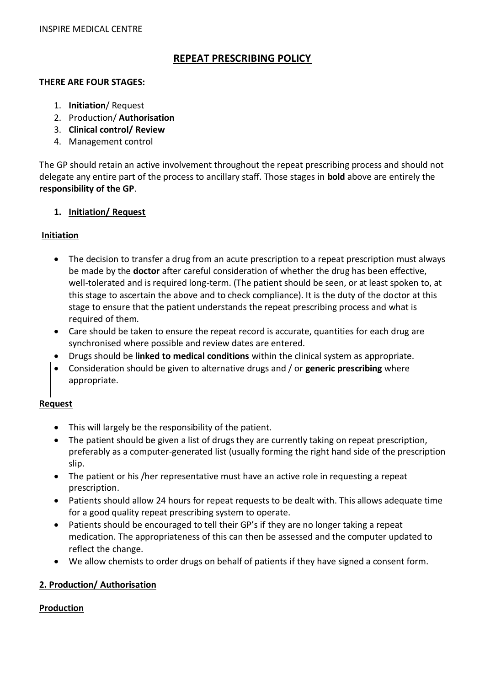# **REPEAT PRESCRIBING POLICY**

#### **THERE ARE FOUR STAGES:**

- 1. **Initiation**/ Request
- 2. Production/ **Authorisation**
- 3. **Clinical control/ Review**
- 4. Management control

The GP should retain an active involvement throughout the repeat prescribing process and should not delegate any entire part of the process to ancillary staff. Those stages in **bold** above are entirely the **responsibility of the GP**.

#### **1. Initiation/ Request**

#### **Initiation**

- The decision to transfer a drug from an acute prescription to a repeat prescription must always be made by the **doctor** after careful consideration of whether the drug has been effective, well-tolerated and is required long-term. (The patient should be seen, or at least spoken to, at this stage to ascertain the above and to check compliance). It is the duty of the doctor at this stage to ensure that the patient understands the repeat prescribing process and what is required of them.
- Care should be taken to ensure the repeat record is accurate, quantities for each drug are synchronised where possible and review dates are entered.
- Drugs should be **linked to medical conditions** within the clinical system as appropriate.
- Consideration should be given to alternative drugs and / or **generic prescribing** where appropriate.

## **Request**

- This will largely be the responsibility of the patient.
- The patient should be given a list of drugs they are currently taking on repeat prescription, preferably as a computer-generated list (usually forming the right hand side of the prescription slip.
- The patient or his /her representative must have an active role in requesting a repeat prescription.
- Patients should allow 24 hours for repeat requests to be dealt with. This allows adequate time for a good quality repeat prescribing system to operate.
- Patients should be encouraged to tell their GP's if they are no longer taking a repeat medication. The appropriateness of this can then be assessed and the computer updated to reflect the change.
- We allow chemists to order drugs on behalf of patients if they have signed a consent form.

## **2. Production/ Authorisation**

## **Production**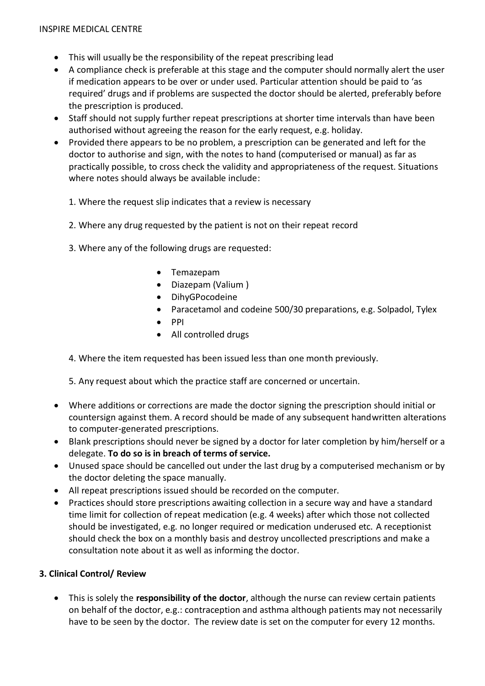- This will usually be the responsibility of the repeat prescribing lead
- A compliance check is preferable at this stage and the computer should normally alert the user if medication appears to be over or under used. Particular attention should be paid to 'as required' drugs and if problems are suspected the doctor should be alerted, preferably before the prescription is produced.
- Staff should not supply further repeat prescriptions at shorter time intervals than have been authorised without agreeing the reason for the early request, e.g. holiday.
- Provided there appears to be no problem, a prescription can be generated and left for the doctor to authorise and sign, with the notes to hand (computerised or manual) as far as practically possible, to cross check the validity and appropriateness of the request. Situations where notes should always be available include:
	- 1. Where the request slip indicates that a review is necessary
	- 2. Where any drug requested by the patient is not on their repeat record
	- 3. Where any of the following drugs are requested:
		- Temazepam
		- Diazepam (Valium )
		- DihyGPocodeine
		- Paracetamol and codeine 500/30 preparations, e.g. Solpadol, Tylex
		- $\bullet$  PPI
		- All controlled drugs

4. Where the item requested has been issued less than one month previously.

5. Any request about which the practice staff are concerned or uncertain.

- Where additions or corrections are made the doctor signing the prescription should initial or countersign against them. A record should be made of any subsequent handwritten alterations to computer-generated prescriptions.
- Blank prescriptions should never be signed by a doctor for later completion by him/herself or a delegate. **To do so is in breach of terms of service.**
- Unused space should be cancelled out under the last drug by a computerised mechanism or by the doctor deleting the space manually.
- All repeat prescriptions issued should be recorded on the computer.
- Practices should store prescriptions awaiting collection in a secure way and have a standard time limit for collection of repeat medication (e.g. 4 weeks) after which those not collected should be investigated, e.g. no longer required or medication underused etc. A receptionist should check the box on a monthly basis and destroy uncollected prescriptions and make a consultation note about it as well as informing the doctor.

#### **3. Clinical Control/ Review**

 This is solely the **responsibility of the doctor**, although the nurse can review certain patients on behalf of the doctor, e.g.: contraception and asthma although patients may not necessarily have to be seen by the doctor. The review date is set on the computer for every 12 months.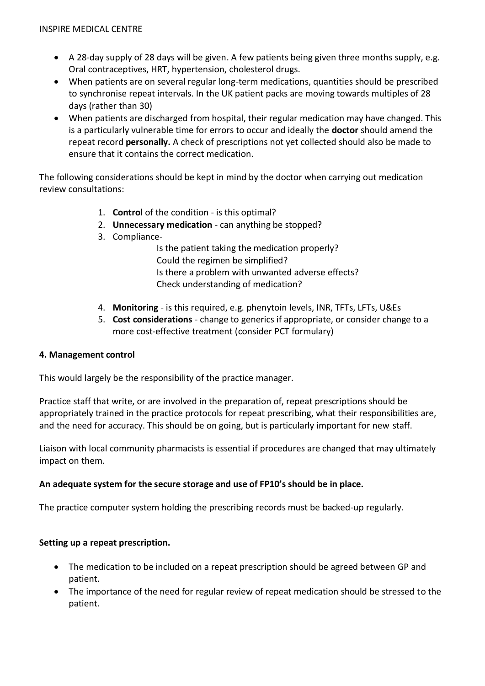- A 28-day supply of 28 days will be given. A few patients being given three months supply, e.g. Oral contraceptives, HRT, hypertension, cholesterol drugs.
- When patients are on several regular long-term medications, quantities should be prescribed to synchronise repeat intervals. In the UK patient packs are moving towards multiples of 28 days (rather than 30)
- When patients are discharged from hospital, their regular medication may have changed. This is a particularly vulnerable time for errors to occur and ideally the **doctor** should amend the repeat record **personally.** A check of prescriptions not yet collected should also be made to ensure that it contains the correct medication.

The following considerations should be kept in mind by the doctor when carrying out medication review consultations:

- 1. **Control** of the condition is this optimal?
- 2. **Unnecessary medication** can anything be stopped?
- 3. Compliance-

Is the patient taking the medication properly? Could the regimen be simplified? Is there a problem with unwanted adverse effects? Check understanding of medication?

- 4. **Monitoring** is this required, e.g. phenytoin levels, INR, TFTs, LFTs, U&Es
- 5. **Cost considerations** change to generics if appropriate, or consider change to a more cost-effective treatment (consider PCT formulary)

## **4. Management control**

This would largely be the responsibility of the practice manager.

Practice staff that write, or are involved in the preparation of, repeat prescriptions should be appropriately trained in the practice protocols for repeat prescribing, what their responsibilities are, and the need for accuracy. This should be on going, but is particularly important for new staff.

Liaison with local community pharmacists is essential if procedures are changed that may ultimately impact on them.

## **An adequate system for the secure storage and use of FP10's should be in place.**

The practice computer system holding the prescribing records must be backed-up regularly.

## **Setting up a repeat prescription.**

- The medication to be included on a repeat prescription should be agreed between GP and patient.
- The importance of the need for regular review of repeat medication should be stressed to the patient.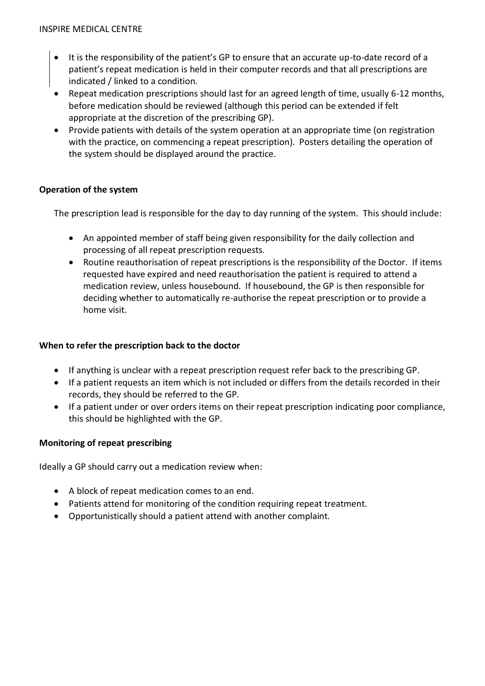- It is the responsibility of the patient's GP to ensure that an accurate up-to-date record of a patient's repeat medication is held in their computer records and that all prescriptions are indicated / linked to a condition.
- Repeat medication prescriptions should last for an agreed length of time, usually 6-12 months, before medication should be reviewed (although this period can be extended if felt appropriate at the discretion of the prescribing GP).
- Provide patients with details of the system operation at an appropriate time (on registration with the practice, on commencing a repeat prescription). Posters detailing the operation of the system should be displayed around the practice.

## **Operation of the system**

The prescription lead is responsible for the day to day running of the system. This should include:

- An appointed member of staff being given responsibility for the daily collection and processing of all repeat prescription requests.
- Routine reauthorisation of repeat prescriptions is the responsibility of the Doctor. If items requested have expired and need reauthorisation the patient is required to attend a medication review, unless housebound. If housebound, the GP is then responsible for deciding whether to automatically re-authorise the repeat prescription or to provide a home visit.

## **When to refer the prescription back to the doctor**

- If anything is unclear with a repeat prescription request refer back to the prescribing GP.
- If a patient requests an item which is not included or differs from the details recorded in their records, they should be referred to the GP.
- If a patient under or over orders items on their repeat prescription indicating poor compliance, this should be highlighted with the GP.

## **Monitoring of repeat prescribing**

Ideally a GP should carry out a medication review when:

- A block of repeat medication comes to an end.
- Patients attend for monitoring of the condition requiring repeat treatment.
- Opportunistically should a patient attend with another complaint.